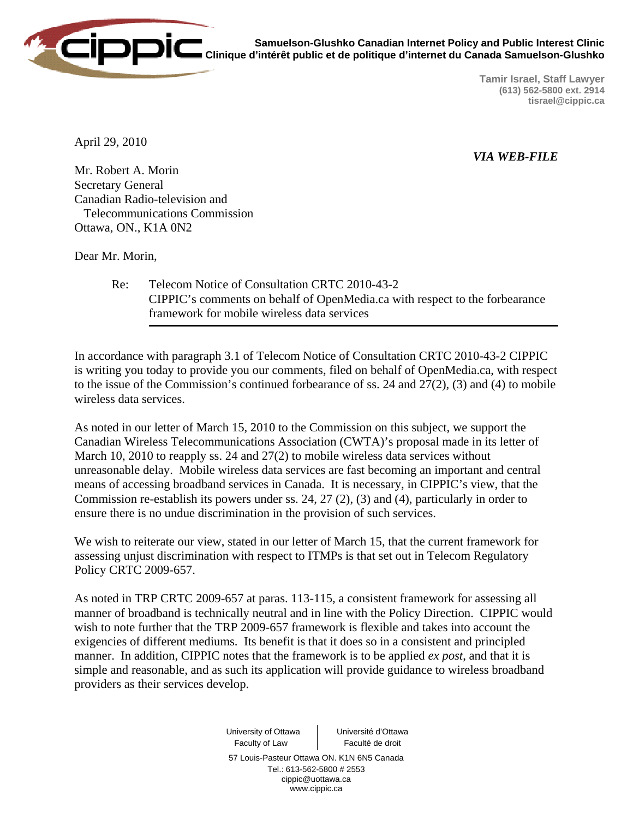

**Samuelson-Glushko Canadian Internet Policy and Public Interest Clinic Clinique d'intérêt public et de politique d'internet du Canada Samuelson-Glushko** 

> **Tamir Israel, Staff Lawyer (613) 562-5800 ext. 2914 tisrael@cippic.ca**

April 29, 2010

*VIA WEB-FILE* 

Mr. Robert A. Morin Secretary General Canadian Radio-television and Telecommunications Commission Ottawa, ON., K1A 0N2

Dear Mr. Morin,

 Re: Telecom Notice of Consultation CRTC 2010-43-2 CIPPIC's comments on behalf of OpenMedia.ca with respect to the forbearance framework for mobile wireless data services

In accordance with paragraph 3.1 of Telecom Notice of Consultation CRTC 2010-43-2 CIPPIC is writing you today to provide you our comments, filed on behalf of OpenMedia.ca, with respect to the issue of the Commission's continued forbearance of ss. 24 and 27(2), (3) and (4) to mobile wireless data services.

As noted in our letter of March 15, 2010 to the Commission on this subject, we support the Canadian Wireless Telecommunications Association (CWTA)'s proposal made in its letter of March 10, 2010 to reapply ss. 24 and 27(2) to mobile wireless data services without unreasonable delay. Mobile wireless data services are fast becoming an important and central means of accessing broadband services in Canada. It is necessary, in CIPPIC's view, that the Commission re-establish its powers under ss. 24, 27 (2), (3) and (4), particularly in order to ensure there is no undue discrimination in the provision of such services.

We wish to reiterate our view, stated in our letter of March 15, that the current framework for assessing unjust discrimination with respect to ITMPs is that set out in Telecom Regulatory Policy CRTC 2009-657.

As noted in TRP CRTC 2009-657 at paras. 113-115, a consistent framework for assessing all manner of broadband is technically neutral and in line with the Policy Direction. CIPPIC would wish to note further that the TRP 2009-657 framework is flexible and takes into account the exigencies of different mediums. Its benefit is that it does so in a consistent and principled manner. In addition, CIPPIC notes that the framework is to be applied *ex post*, and that it is simple and reasonable, and as such its application will provide guidance to wireless broadband providers as their services develop.

> University of Ottawa Faculty of Law Université d'Ottawa Faculté de droit 57 Louis-Pasteur Ottawa ON. K1N 6N5 Canada Tel.: 613-562-5800 # 2553 cippic@uottawa.ca www.cippic.ca